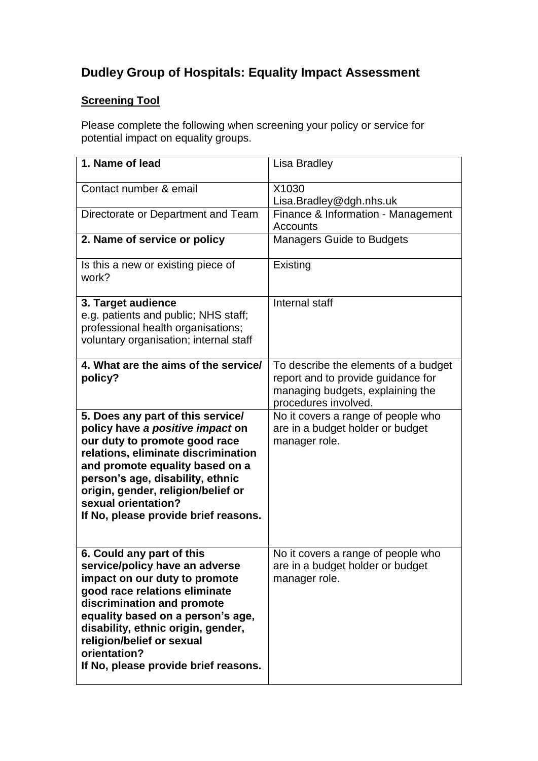## **Dudley Group of Hospitals: Equality Impact Assessment**

## **Screening Tool**

Please complete the following when screening your policy or service for potential impact on equality groups.

| 1. Name of lead                                                                                                                                                                                                                                                                                                             | Lisa Bradley                                                                                                                           |
|-----------------------------------------------------------------------------------------------------------------------------------------------------------------------------------------------------------------------------------------------------------------------------------------------------------------------------|----------------------------------------------------------------------------------------------------------------------------------------|
| Contact number & email                                                                                                                                                                                                                                                                                                      | X1030<br>Lisa.Bradley@dgh.nhs.uk                                                                                                       |
| Directorate or Department and Team                                                                                                                                                                                                                                                                                          | Finance & Information - Management<br>Accounts                                                                                         |
| 2. Name of service or policy                                                                                                                                                                                                                                                                                                | <b>Managers Guide to Budgets</b>                                                                                                       |
| Is this a new or existing piece of<br>work?                                                                                                                                                                                                                                                                                 | Existing                                                                                                                               |
| 3. Target audience<br>e.g. patients and public; NHS staff;<br>professional health organisations;<br>voluntary organisation; internal staff                                                                                                                                                                                  | Internal staff                                                                                                                         |
| 4. What are the aims of the service/<br>policy?                                                                                                                                                                                                                                                                             | To describe the elements of a budget<br>report and to provide guidance for<br>managing budgets, explaining the<br>procedures involved. |
| 5. Does any part of this service/<br>policy have a positive impact on<br>our duty to promote good race<br>relations, eliminate discrimination<br>and promote equality based on a<br>person's age, disability, ethnic<br>origin, gender, religion/belief or<br>sexual orientation?<br>If No, please provide brief reasons.   | No it covers a range of people who<br>are in a budget holder or budget<br>manager role.                                                |
| 6. Could any part of this<br>service/policy have an adverse<br>impact on our duty to promote<br>good race relations eliminate<br>discrimination and promote<br>equality based on a person's age,<br>disability, ethnic origin, gender,<br>religion/belief or sexual<br>orientation?<br>If No, please provide brief reasons. | No it covers a range of people who<br>are in a budget holder or budget<br>manager role.                                                |